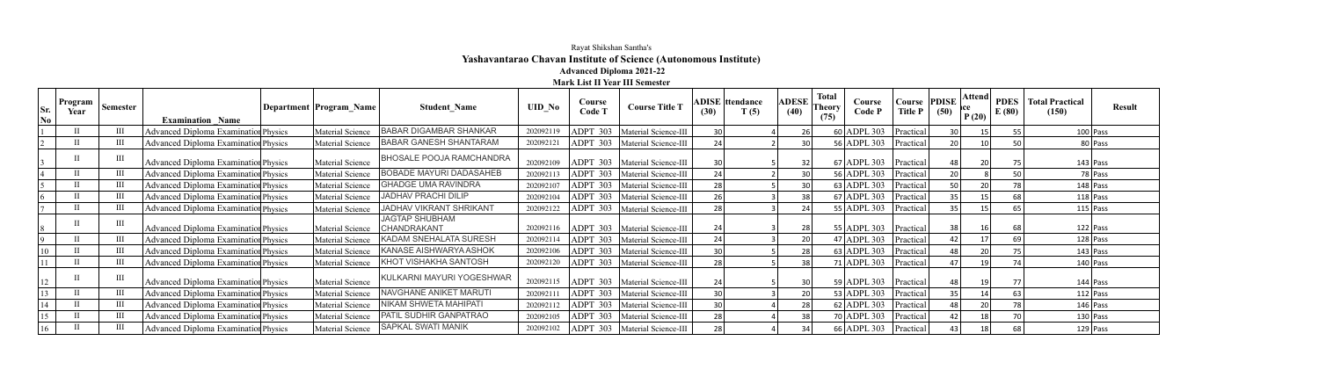## Rayat Shikshan Santha's **Yashavantarao Chavan Institute of Science (Autonomous Institute) Advanced Diploma 2021-22**

**Mark List II Year III Semester**

| Sr.<br>No | Program<br>Year | <b>Semester</b> | <b>Examination Name</b>                     | Department Program Name | <b>Student Name</b>                  | <b>UID_No</b> | Course<br><b>Code T</b> | <b>Course Title T</b>           | (30)            | <b>ADISE</b> ttendance<br>T(5) | <b>ADESE</b><br>(40) | Total<br>$\int$ Theory<br>(75) | Course<br>Code P | Course<br><b>Title P</b> | PDISE<br>(50)   | Attend<br>rce<br>P(20) | <b>PDES</b><br>E(80) | <b>Total Practical</b><br>(150) | <b>Result</b> |
|-----------|-----------------|-----------------|---------------------------------------------|-------------------------|--------------------------------------|---------------|-------------------------|---------------------------------|-----------------|--------------------------------|----------------------|--------------------------------|------------------|--------------------------|-----------------|------------------------|----------------------|---------------------------------|---------------|
|           |                 |                 | Advanced Diploma Examination Physics        | Material Science        | <b>BABAR DIGAMBAR SHANKAR</b>        | 202092119     | ADPT 303                | Material Science-III            |                 |                                | 26                   |                                | $60$ ADPL 303    | Practical                | 30 <sup>1</sup> |                        |                      |                                 | $100$ Pass    |
|           |                 |                 | <b>Advanced Diploma Examination Physics</b> | Material Science        | <b>BABAR GANESH SHANTARAM</b>        | 202092121     | ADPT 303                | Material Science-III            |                 |                                | 30                   |                                | 56 ADPL 303      | Practical                | 20              |                        |                      |                                 | 80 Pass       |
|           |                 |                 | Advanced Diploma Examination Physics        | Material Science        | <b>BHOSALE POOJA RAMCHANDRA</b>      | 202092109     | ADPT 303                | Material Science-III            | 30 <sup>°</sup> |                                | 32                   |                                | $67$ ADPL 303    | Practical                | 48              | 20                     | 75                   |                                 | $143$ Pass    |
|           |                 | $\prod$         | <b>Advanced Diploma Examination Physics</b> | Material Science        | <b>BOBADE MAYURI DADASAHEB</b>       | 202092113     | ADPT 303                | Material Science-III            | 24 <sub>1</sub> |                                | 30                   |                                | 56 ADPL 303      | Practical                | 20              |                        | 50                   |                                 | 78 Pass       |
|           |                 |                 | <b>Advanced Diploma Examination Physics</b> | Material Science        | <b>GHADGE UMA RAVINDRA</b>           | 202092107     | ADPT 303                | Material Science-III            | 28              |                                | 30                   |                                | $63$ ADPL 303    | Practical                | 50              | 20                     | 78 <sub>1</sub>      |                                 | $148$ Pass    |
|           |                 |                 | <b>Advanced Diploma Examination Physics</b> | Material Science        | <b>JADHAV PRACHI DILIP</b>           | 202092104     | ADPT 303                | Material Science-III            | 26 <sub>1</sub> |                                | 38                   |                                | $67$ ADPL 303    | Practical                | 35              |                        |                      |                                 | $118$ Pass    |
|           |                 |                 | <b>Advanced Diploma Examination Physics</b> | Material Science        | <b>JADHAV VIKRANT SHRIKANT</b>       | 202092122     | ADPT 303                | Material Science-III            | 28              |                                | 24                   |                                | $55$ ADPL 303    | Practical                | 35              |                        |                      |                                 | $115$ Pass    |
|           |                 |                 | <b>Advanced Diploma Examination Physics</b> | Material Science        | <b>JAGTAP SHUBHAM</b><br>CHANDRAKANT | 202092116     |                         | ADPT 303   Material Science-III | 24              |                                | 28                   |                                | 55 ADPL 303      | Practical                | 38              | 16                     | 68                   |                                 | $122$ Pass    |
|           |                 |                 | <b>Advanced Diploma Examination Physics</b> | Material Science        | KADAM SNEHALATA SURESH               | 202092114     | <b>ADPT</b><br>303      | Material Science-III            | 24 <sub>1</sub> |                                | 20                   |                                | $47$ ADPL 303    | Practical                | 42 <sub>1</sub> | 17                     | 69                   |                                 | $128$ Pass    |
|           | $_{\rm H}$      |                 | <b>Advanced Diploma Examination Physics</b> | Material Science        | KANASE AISHWARYA ASHOK               | 202092106     | ADPT 303                | Material Science-III            | 30              |                                | 28                   |                                | $63$ ADPL 303    | Practical                | 48              | 20                     | 75                   |                                 | $143$ Pass    |
|           |                 |                 | <b>Advanced Diploma Examination Physics</b> | Material Science        | KHOT VISHAKHA SANTOSH                | 202092120     |                         | ADPT 303   Material Science-III | 28              |                                | 38                   |                                | $71$ ADPL 303    | Practical                | 47 l            | 19                     |                      |                                 | $140$ Pass    |
|           |                 | $\mathbf{I}$    | Advanced Diploma Examination Physics        | Material Science        | KULKARNI MAYURI YOGESHWAR            | 202092115     |                         | ADPT 303   Material Science-III | 24              |                                | 30                   |                                | $59$ ADPL 303    | Practical                | 48              | 19                     |                      |                                 | $144$ Pass    |
|           |                 |                 | <b>Advanced Diploma Examination Physics</b> | Material Science        | NAVGHANE ANIKET MARUTI               | 202092111     |                         | ADPT 303   Material Science-III | 30              |                                | 20                   |                                | $53$ ADPL 303    | Practical                | 35              |                        |                      |                                 | $112$ Pass    |
|           |                 |                 | <b>Advanced Diploma Examination Physics</b> | Material Science        | NIKAM SHWETA MAHIPATI                | 202092112     | <b>ADPT</b><br>303      | Material Science-III            | 30              |                                | 28                   |                                | $62$ ADPL 303    | Practical                | 48              | 20                     |                      |                                 | $146$ Pass    |
|           |                 |                 | Advanced Diploma Examination Physics        | Material Science        | PATIL SUDHIR GANPATRAO               | 202092105     | ADPT 303                | Material Science-III            | 28              |                                | 38                   |                                | $70$ ADPL 303    | Practical                | 42              |                        |                      |                                 | $130$ Pass    |
|           |                 |                 | <b>Advanced Diploma Examination Physics</b> | Material Science        | <b>SAPKAL SWATI MANIK</b>            | 202092102     |                         | ADPT 303   Material Science-III | 28              |                                | 34                   |                                | $66$ ADPL 303    | Practical                | 43              |                        |                      |                                 | $129$ Pass    |